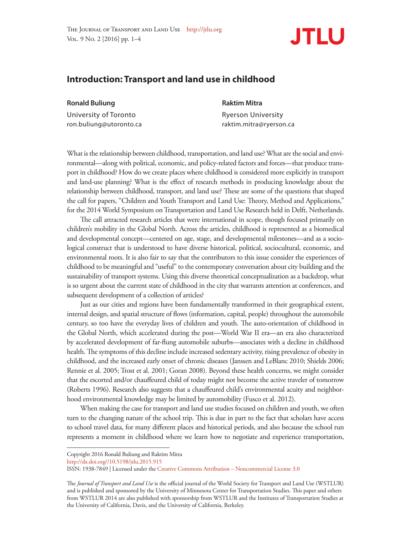

## **Introduction: Transport and land use in childhood**

**Ronald Buliung Raktim Mitra** University of Toronto **Ryerson University** ron.buliung@utoronto.ca raktim.mitra@ryerson.ca

What is the relationship between childhood, transportation, and land use? What are the social and environmental—along with political, economic, and policy-related factors and forces—that produce transport in childhood? How do we create places where childhood is considered more explicitly in transport and land-use planning? What is the effect of research methods in producing knowledge about the relationship between childhood, transport, and land use? These are some of the questions that shaped the call for papers, "Children and Youth Transport and Land Use: Theory, Method and Applications," for the 2014 World Symposium on Transportation and Land Use Research held in Delft, Netherlands.

The call attracted research articles that were international in scope, though focused primarily on children's mobility in the Global North. Across the articles, childhood is represented as a biomedical and developmental concept—centered on age, stage, and developmental milestones—and as a sociological construct that is understood to have diverse historical, political, sociocultural, economic, and environmental roots. It is also fair to say that the contributors to this issue consider the experiences of childhood to be meaningful and "useful" to the contemporary conversation about city building and the sustainability of transport systems. Using this diverse theoretical conceptualization as a backdrop, what is so urgent about the current state of childhood in the city that warrants attention at conferences, and subsequent development of a collection of articles?

Just as our cities and regions have been fundamentally transformed in their geographical extent, internal design, and spatial structure of flows (information, capital, people) throughout the automobile century, so too have the everyday lives of children and youth. The auto-orientation of childhood in the Global North, which accelerated during the post—World War II era—an era also characterized by accelerated development of far-flung automobile suburbs—associates with a decline in childhood health. The symptoms of this decline include increased sedentary activity, rising prevalence of obesity in childhood, and the increased early onset of chronic diseases (Janssen and LeBlanc 2010; Shields 2006; Rennie et al. 2005; Trost et al. 2001; Goran 2008). Beyond these health concerns, we might consider that the escorted and/or chauffeured child of today might not become the active traveler of tomorrow (Roberts 1996). Research also suggests that a chauffeured child's environmental acuity and neighborhood environmental knowledge may be limited by automobility (Fusco et al. 2012).

When making the case for transport and land use studies focused on children and youth, we often turn to the changing nature of the school trip. This is due in part to the fact that scholars have access to school travel data, for many different places and historical periods, and also because the school run represents a moment in childhood where we learn how to negotiate and experience transportation,

Copyright 2016 Ronald Buliung and Raktim Mitra

http://dx.doi.org//10.5198/jtlu.2015.915

ISSN: 1938-7849 | Licensed under the Creative Commons Attribution – Noncommercial License 3.0

The *Journal of Transport and Land Use* is the official journal of the World Society for Transport and Land Use (WSTLUR) and is published and sponsored by the University of Minnesota Center for Transportation Studies. This paper and others from WSTLUR 2014 are also published with sponsorship from WSTLUR and the Institutes of Transportation Studies at the University of California, Davis, and the University of California, Berkeley.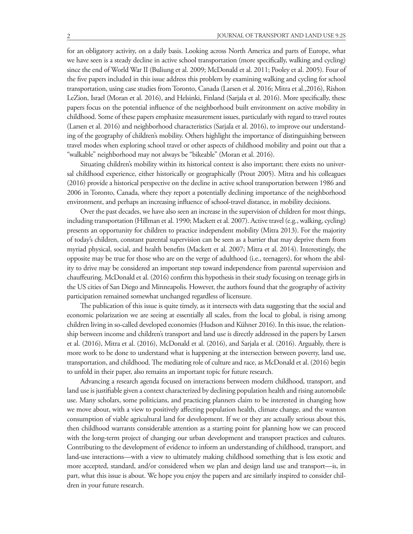for an obligatory activity, on a daily basis. Looking across North America and parts of Europe, what we have seen is a steady decline in active school transportation (more specifically, walking and cycling) since the end of World War II (Buliung et al. 2009; McDonald et al. 2011; Pooley et al. 2005). Four of the five papers included in this issue address this problem by examining walking and cycling for school transportation, using case studies from Toronto, Canada (Larsen et al. 2016; Mitra et al.,2016), Rishon LeZion, Israel (Moran et al. 2016), and Helsinki, Finland (Sarjala et al. 2016). More specifically, these papers focus on the potential influence of the neighborhood built environment on active mobility in childhood. Some of these papers emphasize measurement issues, particularly with regard to travel routes (Larsen et al. 2016) and neighborhood characteristics (Sarjala et al. 2016), to improve our understanding of the geography of children's mobility. Others highlight the importance of distinguishing between travel modes when exploring school travel or other aspects of childhood mobility and point out that a "walkable" neighborhood may not always be "bikeable" (Moran et al. 2016).

Situating children's mobility within its historical context is also important; there exists no universal childhood experience, either historically or geographically (Prout 2005). Mitra and his colleagues (2016) provide a historical perspective on the decline in active school transportation between 1986 and 2006 in Toronto, Canada, where they report a potentially declining importance of the neighborhood environment, and perhaps an increasing influence of school-travel distance, in mobility decisions.

Over the past decades, we have also seen an increase in the supervision of children for most things, including transportation (Hillman et al. 1990; Mackett et al. 2007). Active travel (e.g., walking, cycling) presents an opportunity for children to practice independent mobility (Mitra 2013). For the majority of today's children, constant parental supervision can be seen as a barrier that may deprive them from myriad physical, social, and health benefits (Mackett et al. 2007; Mitra et al. 2014). Interestingly, the opposite may be true for those who are on the verge of adulthood (i.e., teenagers), for whom the ability to drive may be considered an important step toward independence from parental supervision and chauffeuring. McDonald et al. (2016) confirm this hypothesis in their study focusing on teenage girls in the US cities of San Diego and Minneapolis. However, the authors found that the geography of activity participation remained somewhat unchanged regardless of licensure.

The publication of this issue is quite timely, as it intersects with data suggesting that the social and economic polarization we are seeing at essentially all scales, from the local to global, is rising among children living in so-called developed economies (Hudson and Kühner 2016). In this issue, the relationship between income and children's transport and land use is directly addressed in the papers by Larsen et al. (2016), Mitra et al. (2016), McDonald et al. (2016), and Sarjala et al. (2016). Arguably, there is more work to be done to understand what is happening at the intersection between poverty, land use, transportation, and childhood. The mediating role of culture and race, as McDonald et al. (2016) begin to unfold in their paper, also remains an important topic for future research.

Advancing a research agenda focused on interactions between modern childhood, transport, and land use is justifiable given a context characterized by declining population health and rising automobile use. Many scholars, some politicians, and practicing planners claim to be interested in changing how we move about, with a view to positively affecting population health, climate change, and the wanton consumption of viable agricultural land for development. If we or they are actually serious about this, then childhood warrants considerable attention as a starting point for planning how we can proceed with the long-term project of changing our urban development and transport practices and cultures. Contributing to the development of evidence to inform an understanding of childhood, transport, and land-use interactions—with a view to ultimately making childhood something that is less exotic and more accepted, standard, and/or considered when we plan and design land use and transport—is, in part, what this issue is about. We hope you enjoy the papers and are similarly inspired to consider children in your future research.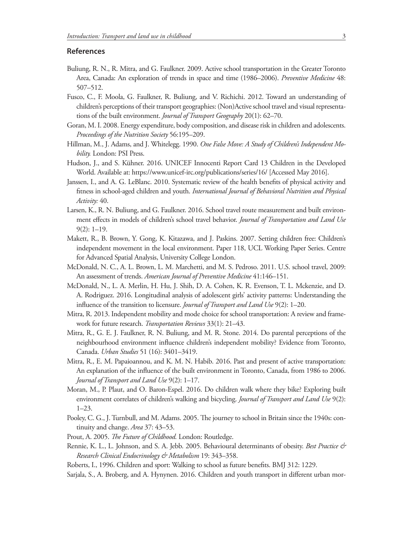## **References**

- Buliung, R. N., R. Mitra, and G. Faulkner. 2009. Active school transportation in the Greater Toronto Area, Canada: An exploration of trends in space and time (1986–2006). *Preventive Medicine* 48: 507–512.
- Fusco, C., F. Moola, G. Faulkner, R. Buliung, and V. Richichi. 2012. Toward an understanding of children's perceptions of their transport geographies: (Non)Active school travel and visual representations of the built environment. *Journal of Transport Geography* 20(1): 62–70.
- Goran, M. I. 2008. Energy expenditure, body composition, and disease risk in children and adolescents. *Proceedings of the Nutrition Society* 56:195–209.
- Hillman, M., J. Adams, and J. Whitelegg. 1990. *One False Move: A Study of Children's Independent Mobility.* London: PSI Press.
- Hudson, J., and S. Kühner. 2016. UNICEF Innocenti Report Card 13 Children in the Developed World. Available at: https://www.unicef-irc.org/publications/series/16/ [Accessed May 2016].
- Janssen, I., and A. G. LeBlanc. 2010. Systematic review of the health benefits of physical activity and fitness in school-aged children and youth. *International Journal of Behavioral Nutrition and Physical Activity:* 40.
- Larsen, K., R. N. Buliung, and G. Faulkner. 2016. School travel route measurement and built environment effects in models of children's school travel behavior. *Journal of Transportation and Land Use*  9(2): 1–19.
- Makett, R., B. Brown, Y. Gong, K. Kitazawa, and J. Paskins. 2007. Setting children free: Children's independent movement in the local environment. Paper 118, UCL Working Paper Series. Centre for Advanced Spatial Analysis, University College London.
- McDonald, N. C., A. L. Brown, L. M. Marchetti, and M. S. Pedroso. 2011. U.S. school travel, 2009: An assessment of trends. *American Journal of Preventive Medicine* 41:146–151.
- McDonald, N., L. A. Merlin, H. Hu, J. Shih, D. A. Cohen, K. R. Evenson, T. L. Mckenzie, and D. A. Rodriguez. 2016. Longitudinal analysis of adolescent girls' activity patterns: Understanding the influence of the transition to licensure. *Journal of Transport and Land Use* 9(2): 1–20.
- Mitra, R. 2013. Independent mobility and mode choice for school transportation: A review and framework for future research. *Transportation Reviews* 33(1): 21–43.
- Mitra, R., G. E. J. Faulkner, R. N. Buliung, and M. R. Stone. 2014. Do parental perceptions of the neighbourhood environment influence children's independent mobility? Evidence from Toronto, Canada. *Urban Studies* 51 (16): 3401–3419.
- Mitra, R., E. M. Papaioannou, and K. M. N. Habib. 2016. Past and present of active transportation: An explanation of the influence of the built environment in Toronto, Canada, from 1986 to 2006. *Journal of Transport and Land Use* 9(2): 1–17.
- Moran, M., P. Plaut, and O. Baron-Espel. 2016. Do children walk where they bike? Exploring built environment correlates of children's walking and bicycling. *Journal of Transport and Land Use* 9(2): 1–23.
- Pooley, C. G., J. Turnbull, and M. Adams. 2005. The journey to school in Britain since the 1940s: continuity and change. *Area* 37: 43–53.
- Prout, A. 2005. *The Future of Childhood.* London: Routledge.
- Rennie, K. L., L. Johnson, and S. A. Jebb. 2005. Behavioural determinants of obesity. *Best Practice & Research Clinical Endocrinology & Metabolism* 19: 343–358.
- Roberts, I., 1996. Children and sport: Walking to school as future benefits. BMJ 312: 1229.
- Sarjala, S., A. Broberg, and A. Hynynen. 2016. Children and youth transport in different urban mor-